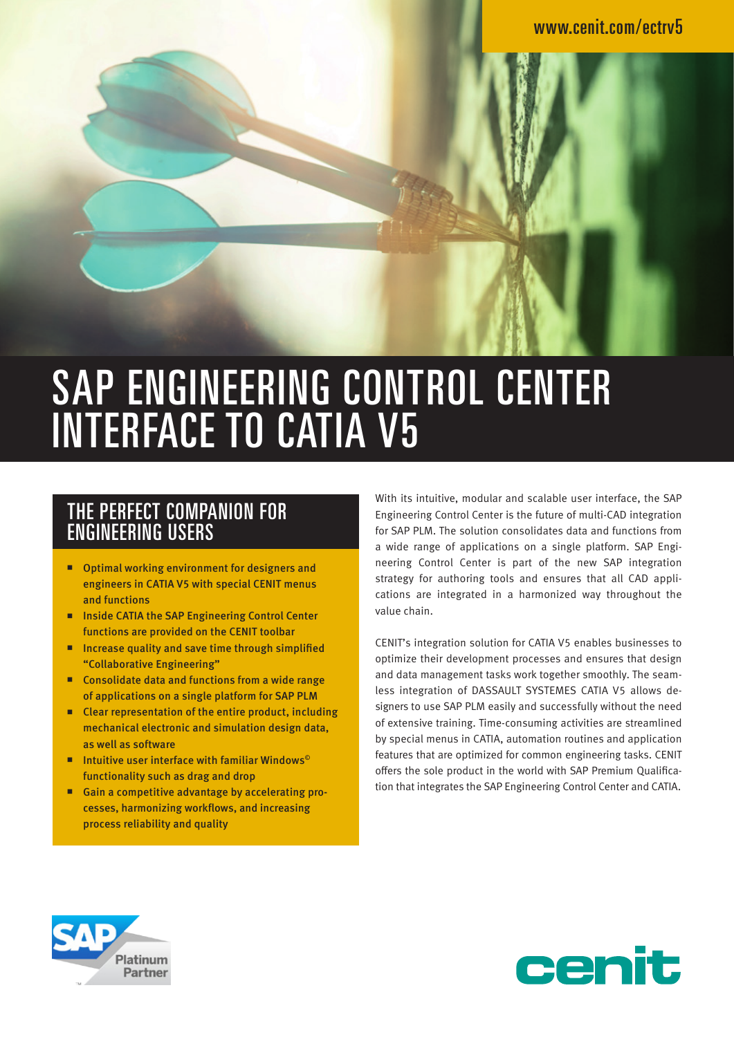# SAP ENGINEERING CONTROL CENTER INTERFACE TO CATIA V5

#### THE PERFECT COMPANION FOR ENGINEERING USERS

- Optimal working environment for designers and engineers in CATIA V5 with special CENIT menus and functions
- **Inside CATIA the SAP Engineering Control Center** functions are provided on the CENIT toolbar
- Increase quality and save time through simplified "Collaborative Engineering"
- **Consolidate data and functions from a wide range** of applications on a single platform for SAP PLM
- Clear representation of the entire product, including mechanical electronic and simulation design data, as well as software
- Intuitive user interface with familiar Windows<sup>®</sup> functionality such as drag and drop
- Gain a competitive advantage by accelerating processes, harmonizing workflows, and increasing process reliability and quality

With its intuitive, modular and scalable user interface, the SAP Engineering Control Center is the future of multi-CAD integration for SAP PLM. The solution consolidates data and functions from a wide range of applications on a single platform. SAP Engineering Control Center is part of the new SAP integration strategy for authoring tools and ensures that all CAD applications are integrated in a harmonized way throughout the value chain.

CENIT's integration solution for CATIA V5 enables businesses to optimize their development processes and ensures that design and data management tasks work together smoothly. The seamless integration of DASSAULT SYSTEMES CATIA V5 allows designers to use SAP PLM easily and successfully without the need of extensive training. Time-consuming activities are streamlined by special menus in CATIA, automation routines and application features that are optimized for common engineering tasks. CENIT offers the sole product in the world with SAP Premium Qualification that integrates the SAP Engineering Control Center and CATIA.